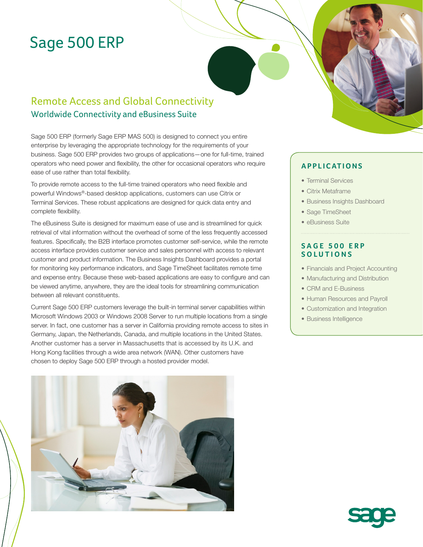# Sage 500 ERP

# Remote Access and Global Connectivity Worldwide Connectivity and eBusiness Suite

Sage 500 ERP (formerly Sage ERP MAS 500) is designed to connect you entire enterprise by leveraging the appropriate technology for the requirements of your business. Sage 500 ERP provides two groups of applications—one for full-time, trained operators who need power and flexibility, the other for occasional operators who require ease of use rather than total flexibility.

To provide remote access to the full-time trained operators who need flexible and powerful Windows®-based desktop applications, customers can use Citrix or Terminal Services. These robust applications are designed for quick data entry and complete flexibility.

The eBusiness Suite is designed for maximum ease of use and is streamlined for quick retrieval of vital information without the overhead of some of the less frequently accessed features. Specifically, the B2B interface promotes customer self-service, while the remote access interface provides customer service and sales personnel with access to relevant customer and product information. The Business Insights Dashboard provides a portal for monitoring key performance indicators, and Sage TimeSheet facilitates remote time and expense entry. Because these web-based applications are easy to configure and can be viewed anytime, anywhere, they are the ideal tools for streamlining communication between all relevant constituents.

Current Sage 500 ERP customers leverage the built-in terminal server capabilities within Microsoft Windows 2003 or Windows 2008 Server to run multiple locations from a single server. In fact, one customer has a server in California providing remote access to sites in Germany, Japan, the Netherlands, Canada, and multiple locations in the United States. Another customer has a server in Massachusetts that is accessed by its U.K. and Hong Kong facilities through a wide area network (WAN). Other customers have chosen to deploy Sage 500 ERP through a hosted provider model.



### **APPLICATIONS**

- Terminal Services
- Citrix Metaframe
- Business Insights Dashboard
- Sage TimeSheet
- eBusiness Suite

### **SAGE 500 ERP SOLUTIONS**

- Financials and Project Accounting
- Manufacturing and Distribution
- CRM and E-Business
- Human Resources and Payroll
- Customization and Integration
- Business Intelligence